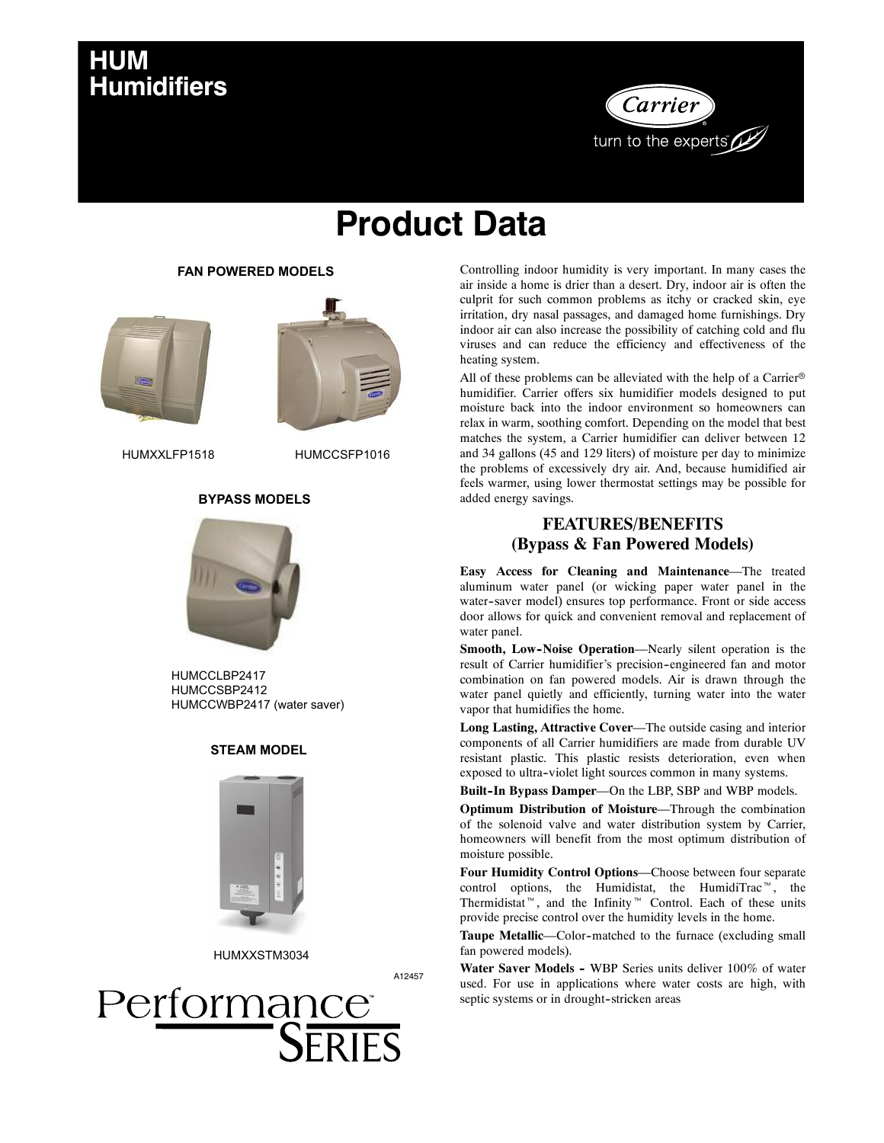## **HUM Humidifiers**



# **Product Data**

#### **FAN POWERED MODELS**





HUMXXLFP1518 HUMCCSFP1016

#### **BYPASS MODELS**



HUMCCLBP2417 HUMCCSBP2412 HUMCCWBP2417 (water saver)

#### **STEAM MODEL**



HUMXXSTM3034

A12457



Controlling indoor humidity is very important. In many cases the air inside a home is drier than a desert. Dry, indoor air is often the culprit for such common problems as itchy or cracked skin, eye irritation, dry nasal passages, and damaged home furnishings. Dry indoor air can also increase the possibility of catching cold and flu viruses and can reduce the efficiency and effectiveness of the heating system.

All of these problems can be alleviated with the help of a Carrier<sup>®</sup> humidifier. Carrier offers six humidifier models designed to put moisture back into the indoor environment so homeowners can relax in warm, soothing comfort. Depending on the model that best matches the system, a Carrier humidifier can deliver between 12 and 34 gallons (45 and 129 liters) of moisture per day to minimize the problems of excessively dry air. And, because humidified air feels warmer, using lower thermostat settings may be possible for added energy savings.

#### **FEATURES/BENEFITS (Bypass & Fan Powered Models)**

**Easy Access for Cleaning and Maintenance**—The treated aluminum water panel (or wicking paper water panel in the water--saver model) ensures top performance. Front or side access door allows for quick and convenient removal and replacement of water panel.

**Smooth, Low--Noise Operation**—Nearly silent operation is the result of Carrier humidifier's precision--engineered fan and motor combination on fan powered models. Air is drawn through the water panel quietly and efficiently, turning water into the water vapor that humidifies the home.

**Long Lasting, Attractive Cover**—The outside casing and interior components of all Carrier humidifiers are made from durable UV resistant plastic. This plastic resists deterioration, even when exposed to ultra--violet light sources common in many systems.

Built-In Bypass Damper-On the LBP, SBP and WBP models.

**Optimum Distribution of Moisture**—Through the combination of the solenoid valve and water distribution system by Carrier, homeowners will benefit from the most optimum distribution of moisture possible.

**Four Humidity Control Options**—Choose between four separate control options, the Humidistat, the HumidiTrac<sup> $m$ </sup>, the Thermidistat<sup>"</sup>, and the Infinity<sup>"</sup> Control. Each of these units provide precise control over the humidity levels in the home.

Taupe Metallic—Color-matched to the furnace (excluding small fan powered models).

Water Saver Models - WBP Series units deliver 100% of water used. For use in applications where water costs are high, with septic systems or in drought-stricken areas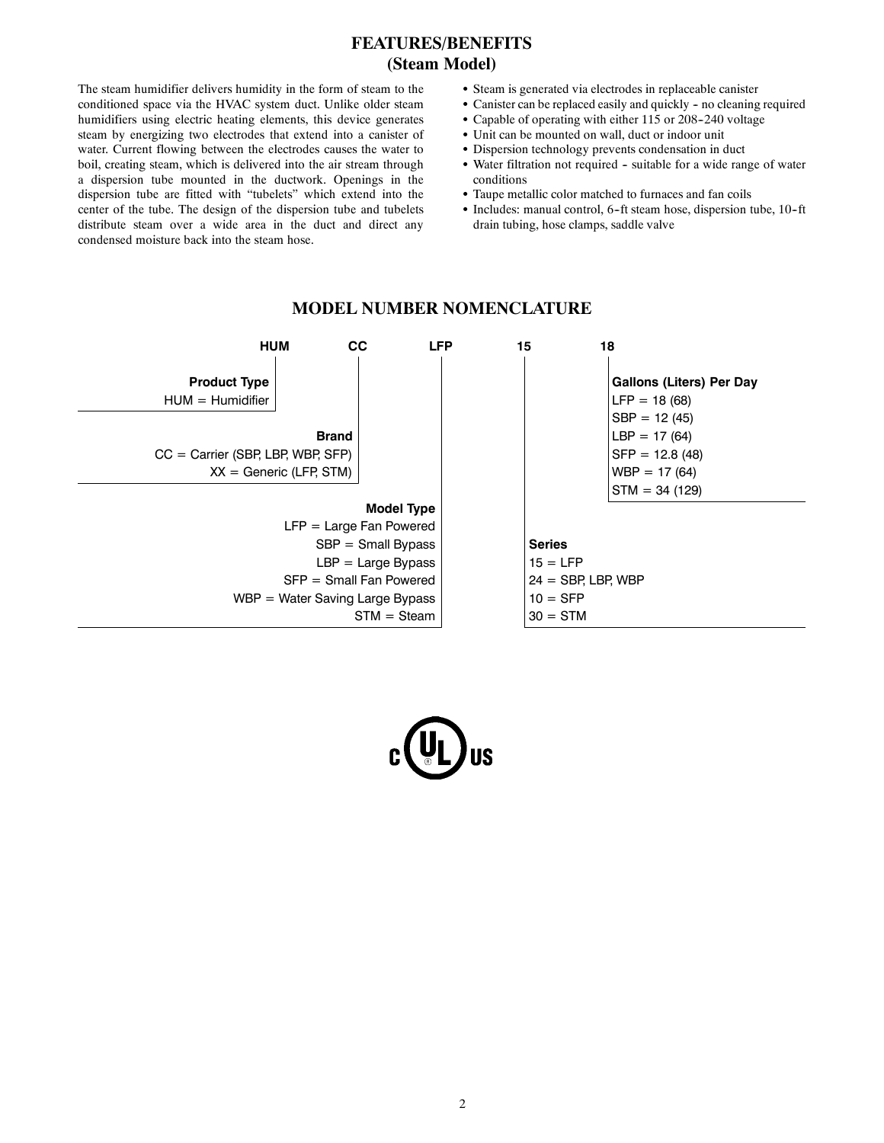#### **FEATURES/BENEFITS (Steam Model)**

The steam humidifier delivers humidity in the form of steam to the conditioned space via the HVAC system duct. Unlike older steam humidifiers using electric heating elements, this device generates steam by energizing two electrodes that extend into a canister of water. Current flowing between the electrodes causes the water to boil, creating steam, which is delivered into the air stream through a dispersion tube mounted in the ductwork. Openings in the dispersion tube are fitted with "tubelets" which extend into the center of the tube. The design of the dispersion tube and tubelets distribute steam over a wide area in the duct and direct any condensed moisture back into the steam hose.

- Steam is generated via electrodes in replaceable canister
- Canister can be replaced easily and quickly no cleaning required
- $\bullet$  Capable of operating with either 115 or 208-240 voltage
- Unit can be mounted on wall, duct or indoor unit
- Dispersion technology prevents condensation in duct
- Water filtration not required suitable for a wide range of water conditions
- Taupe metallic color matched to furnaces and fan coils
- Includes: manual control, 6-ft steam hose, dispersion tube, 10-ft drain tubing, hose clamps, saddle valve



#### **MODEL NUMBER NOMENCLATURE**

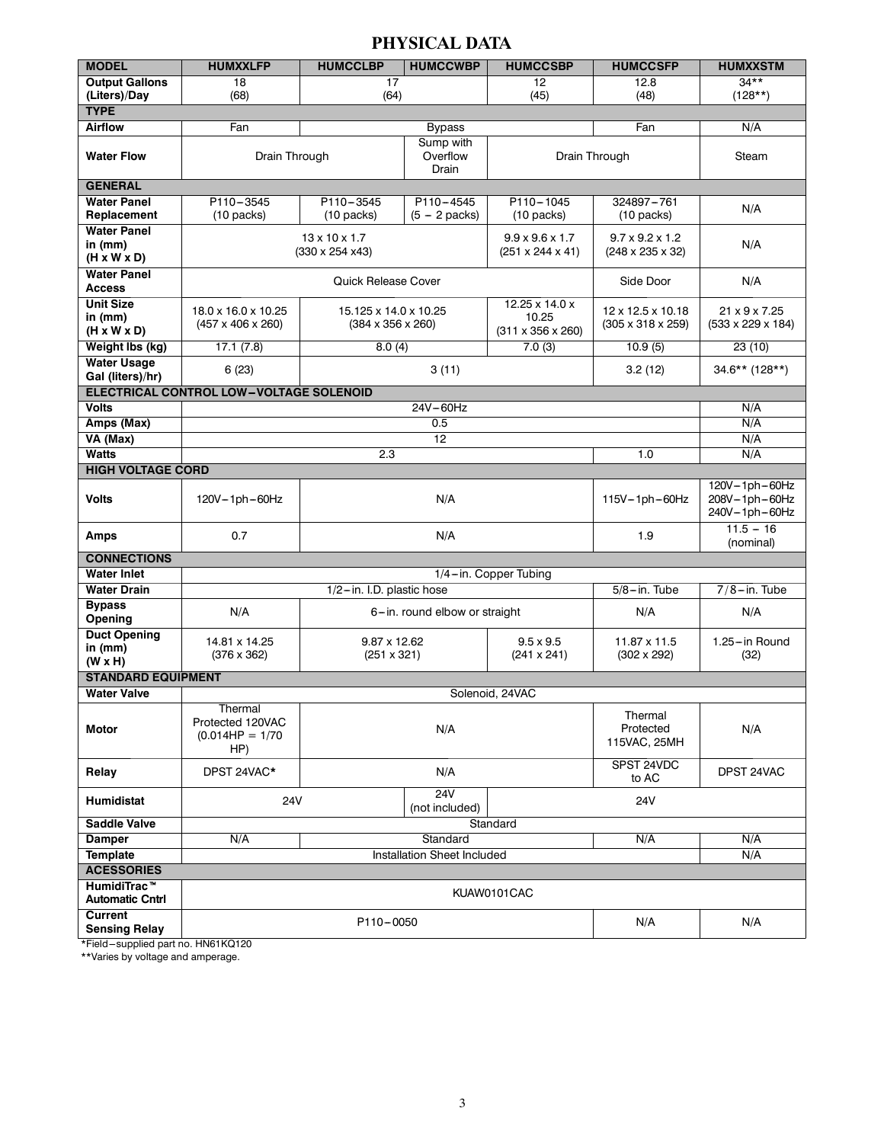#### **PHYSICAL DATA**

| <b>MODEL</b>                                               | <b>HUMXXLFP</b>                                          | <b>HUMCCLBP</b>                                                              | <b>HUMCCWBP</b>                | <b>HUMCCSBP</b>                                             | <b>HUMCCSFP</b>                                             | <b>HUMXXSTM</b>               |
|------------------------------------------------------------|----------------------------------------------------------|------------------------------------------------------------------------------|--------------------------------|-------------------------------------------------------------|-------------------------------------------------------------|-------------------------------|
| <b>Output Gallons</b>                                      | 18                                                       | 17<br>12                                                                     |                                | 12.8                                                        | $34***$                                                     |                               |
| (Liters)/Day                                               | (68)                                                     | (64)<br>(45)                                                                 |                                |                                                             | (48)                                                        | $(128**)$                     |
| <b>TYPE</b>                                                |                                                          |                                                                              |                                |                                                             |                                                             |                               |
| <b>Airflow</b>                                             | Fan                                                      |                                                                              | <b>Bypass</b>                  |                                                             | Fan                                                         | N/A                           |
| <b>Water Flow</b>                                          | Drain Through                                            |                                                                              | Sump with<br>Overflow<br>Drain |                                                             | Drain Through                                               | Steam                         |
| <b>GENERAL</b>                                             |                                                          |                                                                              |                                |                                                             |                                                             |                               |
| <b>Water Panel</b>                                         | P110-3545                                                | P110-3545                                                                    | $P110 - 4545$                  | P110-1045                                                   | 324897-761                                                  | N/A                           |
| Replacement                                                | $(10 \text{ packets})$                                   | $(10 \text{ packets})$                                                       | $(5 - 2$ packs)                | $(10 \text{ packets})$                                      | $(10 \text{ packets})$                                      |                               |
| <b>Water Panel</b><br>in $(mm)$<br>$(H \times W \times D)$ |                                                          | $13 \times 10 \times 1.7$<br>$(330 \times 254 \times 43)$                    |                                | $9.9 \times 9.6 \times 1.7$<br>$(251 \times 244 \times 41)$ | $9.7 \times 9.2 \times 1.2$<br>$(248 \times 235 \times 32)$ | N/A                           |
| <b>Water Panel</b><br><b>Access</b>                        |                                                          | <b>Quick Release Cover</b>                                                   |                                |                                                             | Side Door                                                   | N/A                           |
| <b>Unit Size</b>                                           | 18.0 x 16.0 x 10.25                                      | 15.125 x 14.0 x 10.25                                                        |                                | $12.25 \times 14.0 \times$                                  | $12 \times 12.5 \times 10.18$                               | 21 x 9 x 7.25                 |
| in $(mm)$<br>$(H \times W \times D)$                       | $(457 \times 406 \times 260)$                            | $(384 \times 356 \times 260)$                                                |                                | 10.25<br>$(311 \times 356 \times 260)$                      | $(305 \times 318 \times 259)$                               | $(533 \times 229 \times 184)$ |
| Weight Ibs (kg)                                            | 17.1(7.8)                                                | 8.0(4)                                                                       |                                | 7.0(3)                                                      | 10.9(5)                                                     | 23 (10)                       |
| <b>Water Usage</b><br>Gal (liters)/hr)                     | 6(23)                                                    |                                                                              | 3(11)                          |                                                             | 3.2(12)                                                     | 34.6** (128**)                |
|                                                            | ELECTRICAL CONTROL LOW-VOLTAGE SOLENOID                  |                                                                              |                                |                                                             |                                                             |                               |
| <b>Volts</b>                                               |                                                          |                                                                              | 24V-60Hz                       |                                                             |                                                             | N/A                           |
| Amps (Max)                                                 | 0.5                                                      |                                                                              |                                |                                                             |                                                             | N/A                           |
| VA (Max)                                                   |                                                          |                                                                              | 12                             |                                                             |                                                             | N/A                           |
| <b>Watts</b>                                               | 2.3                                                      |                                                                              |                                |                                                             | 1.0                                                         | N/A                           |
| <b>HIGH VOLTAGE CORD</b><br>120V-1ph-60Hz                  |                                                          |                                                                              |                                |                                                             |                                                             |                               |
| <b>Volts</b>                                               | 120V-1ph-60Hz                                            |                                                                              | N/A                            | 115V-1ph-60Hz                                               | 208V-1ph-60Hz<br>240V-1ph-60Hz                              |                               |
| <b>Amps</b>                                                | 0.7                                                      |                                                                              | N/A                            |                                                             | 1.9                                                         | $11.5 - 16$<br>(nominal)      |
| <b>CONNECTIONS</b>                                         |                                                          |                                                                              |                                |                                                             |                                                             |                               |
| <b>Water Inlet</b>                                         |                                                          |                                                                              |                                | 1/4-in. Copper Tubing                                       |                                                             |                               |
| <b>Water Drain</b>                                         |                                                          | 1/2-in. I.D. plastic hose                                                    |                                |                                                             | $5/8 - in.$ Tube                                            | $7/8 - in.$ Tube              |
| <b>Bypass</b><br>Opening                                   | N/A                                                      |                                                                              | 6-in. round elbow or straight  |                                                             | N/A                                                         | N/A                           |
| <b>Duct Opening</b><br>in $(mm)$<br>$(W \times H)$         | 14.81 x 14.25<br>$(376 \times 362)$                      | 9.87 x 12.62<br>$9.5 \times 9.5$<br>$(251 \times 321)$<br>$(241 \times 241)$ |                                | 11.87 x 11.5<br>$(302 \times 292)$                          | 1.25-in Round<br>(32)                                       |                               |
| <b>STANDARD EQUIPMENT</b>                                  |                                                          |                                                                              |                                |                                                             |                                                             |                               |
| <b>Water Valve</b>                                         |                                                          |                                                                              |                                | Solenoid, 24VAC                                             |                                                             |                               |
| <b>Motor</b>                                               | Thermal<br>Protected 120VAC<br>$(0.014HP = 1/70)$<br>HP) | N/A                                                                          |                                |                                                             | Thermal<br>Protected<br>115VAC, 25MH                        | N/A                           |
| Relay                                                      | DPST 24VAC*                                              | N/A                                                                          |                                |                                                             | SPST 24VDC<br>to AC                                         | DPST 24VAC                    |
| <b>Humidistat</b>                                          | 24V<br><b>24V</b><br>(not included)                      |                                                                              |                                |                                                             | 24V                                                         |                               |
| <b>Saddle Valve</b>                                        |                                                          |                                                                              |                                | Standard                                                    |                                                             |                               |
| <b>Damper</b>                                              | N/A<br>Standard<br>N/A                                   |                                                                              |                                |                                                             |                                                             | N/A                           |
| <b>Template</b>                                            |                                                          |                                                                              | Installation Sheet Included    |                                                             |                                                             | N/A                           |
| <b>ACESSORIES</b>                                          |                                                          |                                                                              |                                |                                                             |                                                             |                               |
| HumidiTrac <sup>™</sup><br><b>Automatic Cntrl</b>          |                                                          |                                                                              |                                | KUAW0101CAC                                                 |                                                             |                               |
| Current<br><b>Sensing Relay</b>                            | N/A<br>P110-0050<br>N/A                                  |                                                                              |                                |                                                             |                                                             |                               |

\*Field-supplied part no. HN61KQ120

\*\*Varies by voltage and amperage.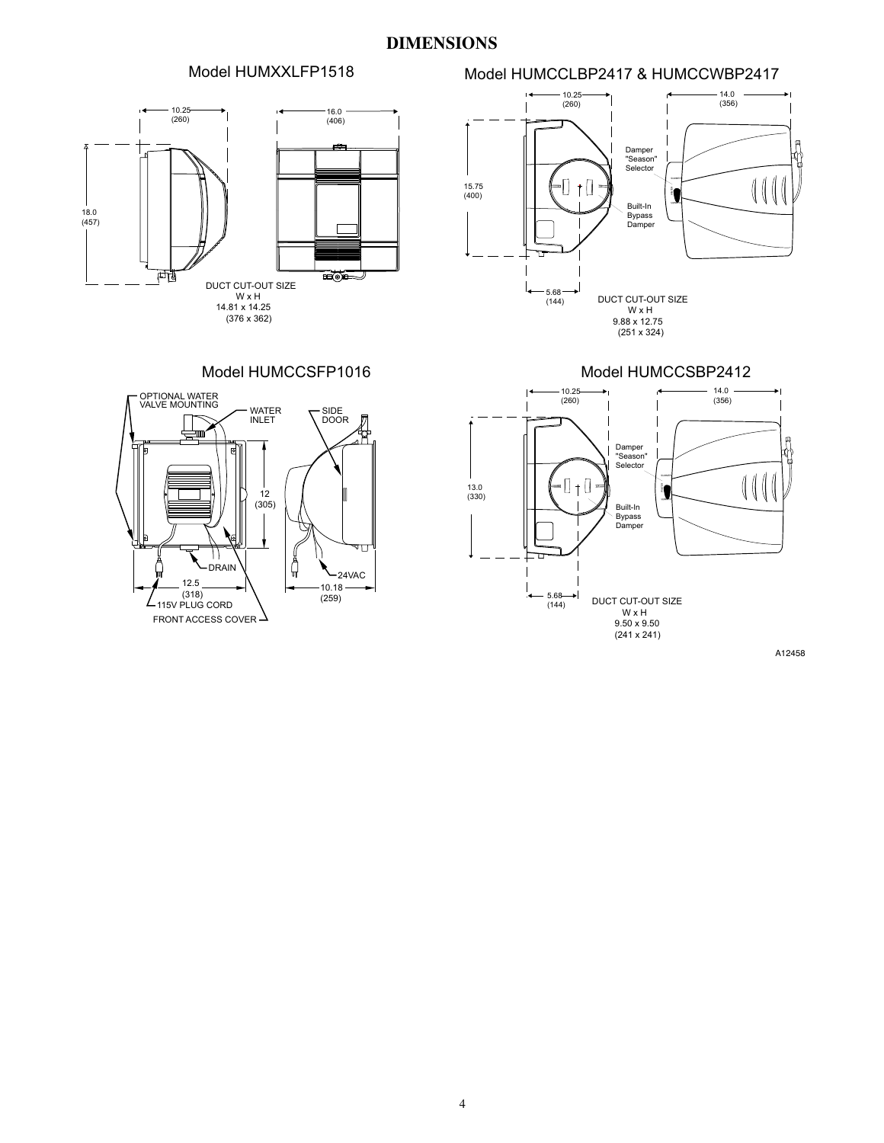#### **DIMENSIONS**

#### Model HUMCCLBP2417 & HUMCCWBP2417 Model HUMXXLFP1518

### 16.0 10.25 (260) (406)  $\overline{\phantom{a}}$ 18.0 (457) 両 **HOF** J DUCT CUT-OUT SIZE W x H 14.81 x 14.25 (376 x 362)



Model HUMCCSFP1016







A12458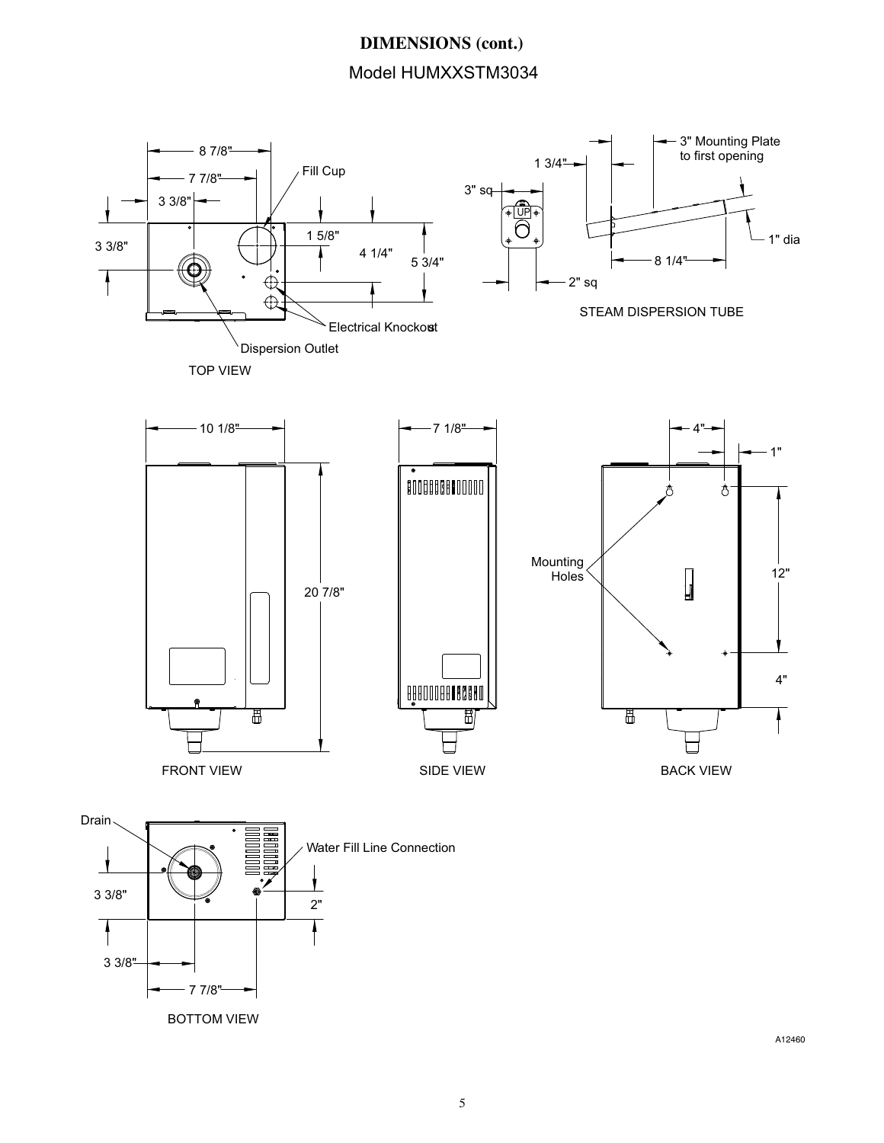## **DIMENSIONS (cont.)** Model HUMXXSTM3034



A12460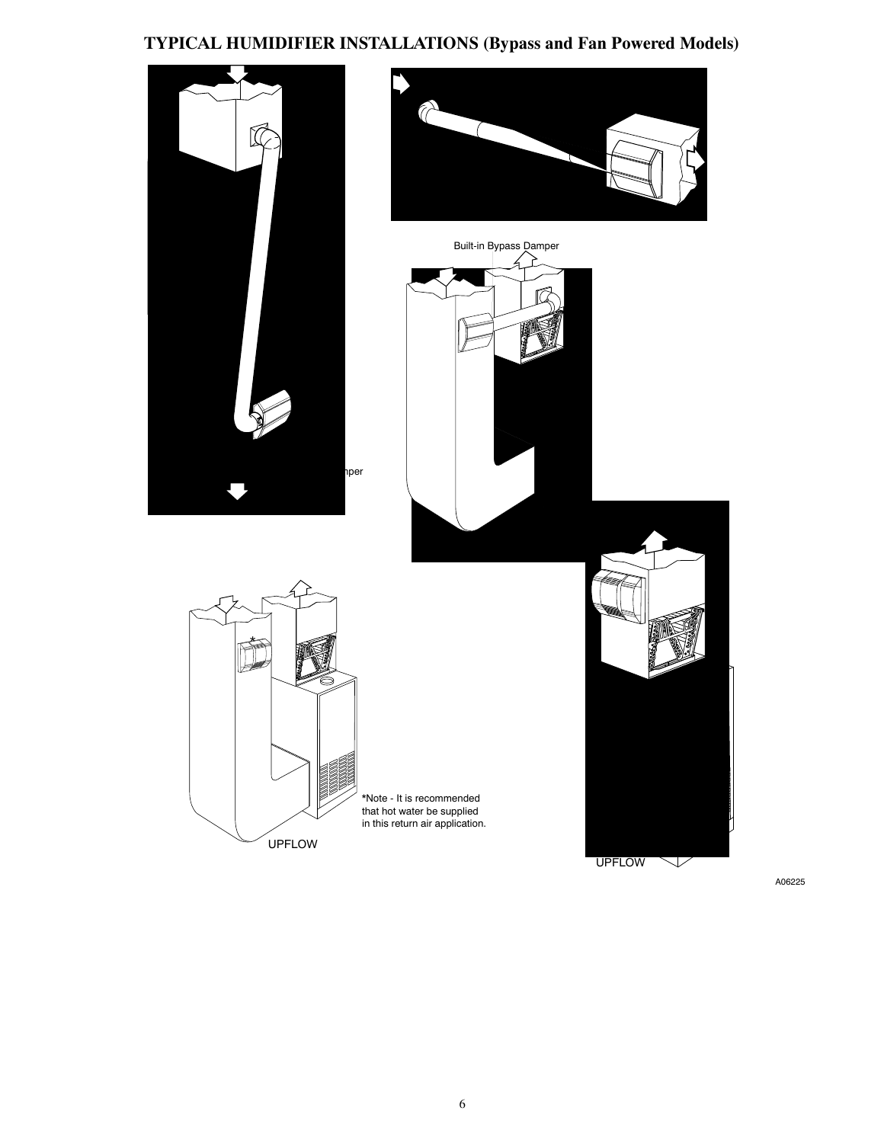## **TYPICAL HUMIDIFIER INSTALLATIONS (Bypass and Fan Powered Models)**

![](_page_5_Picture_1.jpeg)

A06225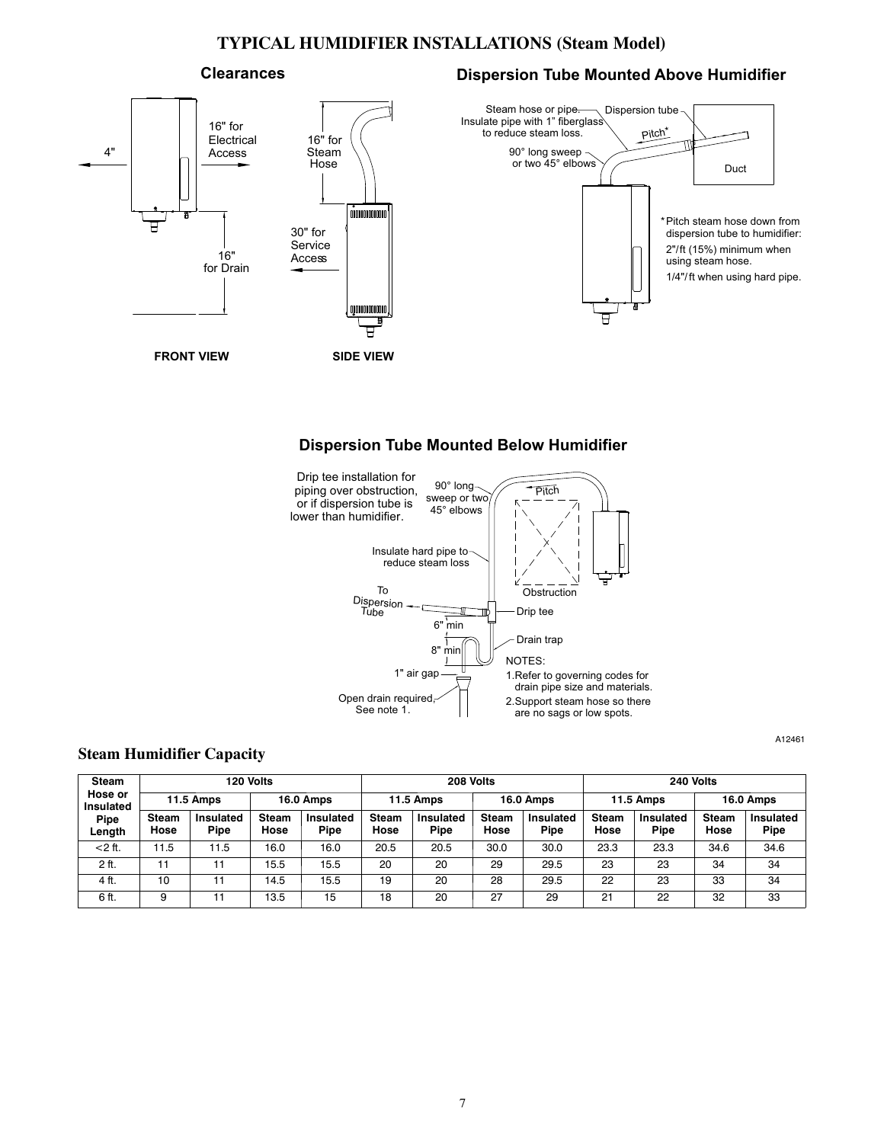#### **TYPICAL HUMIDIFIER INSTALLATIONS (Steam Model)**

#### **Clearances**

#### **Dispersion Tube Mounted Above Humidifier**

A12461

![](_page_6_Figure_3.jpeg)

#### **Dispersion Tube Mounted Below Humidifier**

![](_page_6_Figure_5.jpeg)

#### **Steam Humidifier Capacity**

| Steam                       | 120 Volts     |                          |                      | 208 Volts                |                      |                   | 240 Volts            |                          |                      |                          |                      |                   |
|-----------------------------|---------------|--------------------------|----------------------|--------------------------|----------------------|-------------------|----------------------|--------------------------|----------------------|--------------------------|----------------------|-------------------|
| Hose or<br><b>Insulated</b> |               | <b>11.5 Amps</b>         |                      | <b>16.0 Amps</b>         |                      | <b>11.5 Amps</b>  |                      | <b>16.0 Amps</b>         |                      | <b>11.5 Amps</b>         |                      | <b>16.0 Amps</b>  |
| Pipe<br>Length              | Steam<br>Hose | Insulated<br><b>Pipe</b> | <b>Steam</b><br>Hose | <b>Insulated</b><br>Pipe | <b>Steam</b><br>Hose | Insulated<br>Pipe | <b>Steam</b><br>Hose | <b>Insulated</b><br>Pipe | <b>Steam</b><br>Hose | <b>Insulated</b><br>Pipe | <b>Steam</b><br>Hose | Insulated<br>Pipe |
| $<$ 2 ft.                   | 11.5          | 11.5                     | 16.0                 | 16.0                     | 20.5                 | 20.5              | 30.0                 | 30.0                     | 23.3                 | 23.3                     | 34.6                 | 34.6              |
| 2 ft.                       | 11            | 11                       | 15.5                 | 15.5                     | 20                   | 20                | 29                   | 29.5                     | 23                   | 23                       | 34                   | 34                |
| 4 ft.                       | 10            | 11                       | 14.5                 | 15.5                     | 19                   | 20                | 28                   | 29.5                     | 22                   | 23                       | 33                   | 34                |
| 6 ft.                       | 9             |                          | 13.5                 | 15                       | 18                   | 20                | 27                   | 29                       | 21                   | 22                       | 32                   | 33                |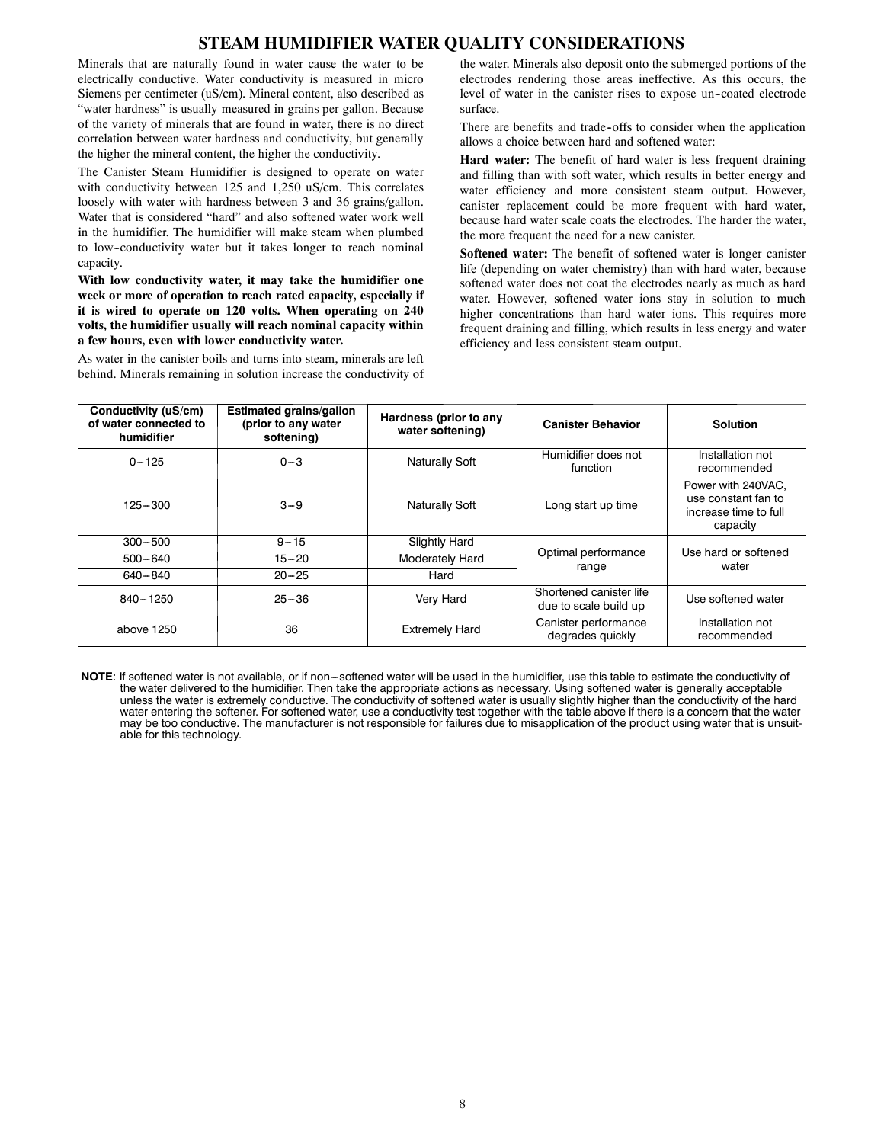#### **STEAM HUMIDIFIER WATER QUALITY CONSIDERATIONS**

Minerals that are naturally found in water cause the water to be electrically conductive. Water conductivity is measured in micro Siemens per centimeter (uS/cm). Mineral content, also described as "water hardness" is usually measured in grains per gallon. Because of the variety of minerals that are found in water, there is no direct correlation between water hardness and conductivity, but generally the higher the mineral content, the higher the conductivity.

The Canister Steam Humidifier is designed to operate on water with conductivity between 125 and 1,250 uS/cm. This correlates loosely with water with hardness between 3 and 36 grains/gallon. Water that is considered "hard" and also softened water work well in the humidifier. The humidifier will make steam when plumbed to low--conductivity water but it takes longer to reach nominal capacity.

**With low conductivity water, it may take the humidifier one week or more of operation to reach rated capacity, especially if it is wired to operate on 120 volts. When operating on 240 volts, the humidifier usually will reach nominal capacity within a few hours, even with lower conductivity water.**

As water in the canister boils and turns into steam, minerals are left behind. Minerals remaining in solution increase the conductivity of the water. Minerals also deposit onto the submerged portions of the electrodes rendering those areas ineffective. As this occurs, the level of water in the canister rises to expose un--coated electrode surface.

There are benefits and trade-offs to consider when the application allows a choice between hard and softened water:

**Hard water:** The benefit of hard water is less frequent draining and filling than with soft water, which results in better energy and water efficiency and more consistent steam output. However, canister replacement could be more frequent with hard water, because hard water scale coats the electrodes. The harder the water, the more frequent the need for a new canister.

**Softened water:** The benefit of softened water is longer canister life (depending on water chemistry) than with hard water, because softened water does not coat the electrodes nearly as much as hard water. However, softened water ions stay in solution to much higher concentrations than hard water ions. This requires more frequent draining and filling, which results in less energy and water efficiency and less consistent steam output.

| Conductivity (uS/cm)<br>of water connected to<br>humidifier | <b>Estimated grains/gallon</b><br>(prior to any water<br>softening) | Hardness (prior to any<br>water softening) | <b>Canister Behavior</b>                         | <b>Solution</b>                                                                |  |
|-------------------------------------------------------------|---------------------------------------------------------------------|--------------------------------------------|--------------------------------------------------|--------------------------------------------------------------------------------|--|
| $0 - 125$                                                   | $0 - 3$                                                             | <b>Naturally Soft</b>                      | Humidifier does not<br>function                  | Installation not<br>recommended                                                |  |
| 125-300                                                     | $3 - 9$                                                             | <b>Naturally Soft</b>                      | Long start up time                               | Power with 240VAC.<br>use constant fan to<br>increase time to full<br>capacity |  |
| $300 - 500$                                                 | $9 - 15$                                                            | <b>Slightly Hard</b>                       |                                                  | Use hard or softened                                                           |  |
| $500 - 640$                                                 | $15 - 20$                                                           | Moderately Hard                            | Optimal performance<br>range                     | water                                                                          |  |
| $640 - 840$                                                 | $20 - 25$                                                           | Hard                                       |                                                  |                                                                                |  |
| 840-1250                                                    | $25 - 36$                                                           | Very Hard                                  | Shortened canister life<br>due to scale build up | Use softened water                                                             |  |
| above 1250                                                  | 36                                                                  | <b>Extremely Hard</b>                      | Canister performance<br>degrades quickly         | Installation not<br>recommended                                                |  |

NOTE: If softened water is not available, or if non-softened water will be used in the humidifier, use this table to estimate the conductivity of the water delivered to the humidifier. Then take the appropriate actions as necessary. Using softened water is generally acceptable unless the water is extremely conductive. The conductivity of softened water is usually slightly higher than the conductivity of the hard water entering the softener. For softened water, use a conductivity test together with the table above if there is a concern that the water may be too conductive. The manufacturer is not responsible for failures due to misapplication of the product using water that is unsuitable for this technology.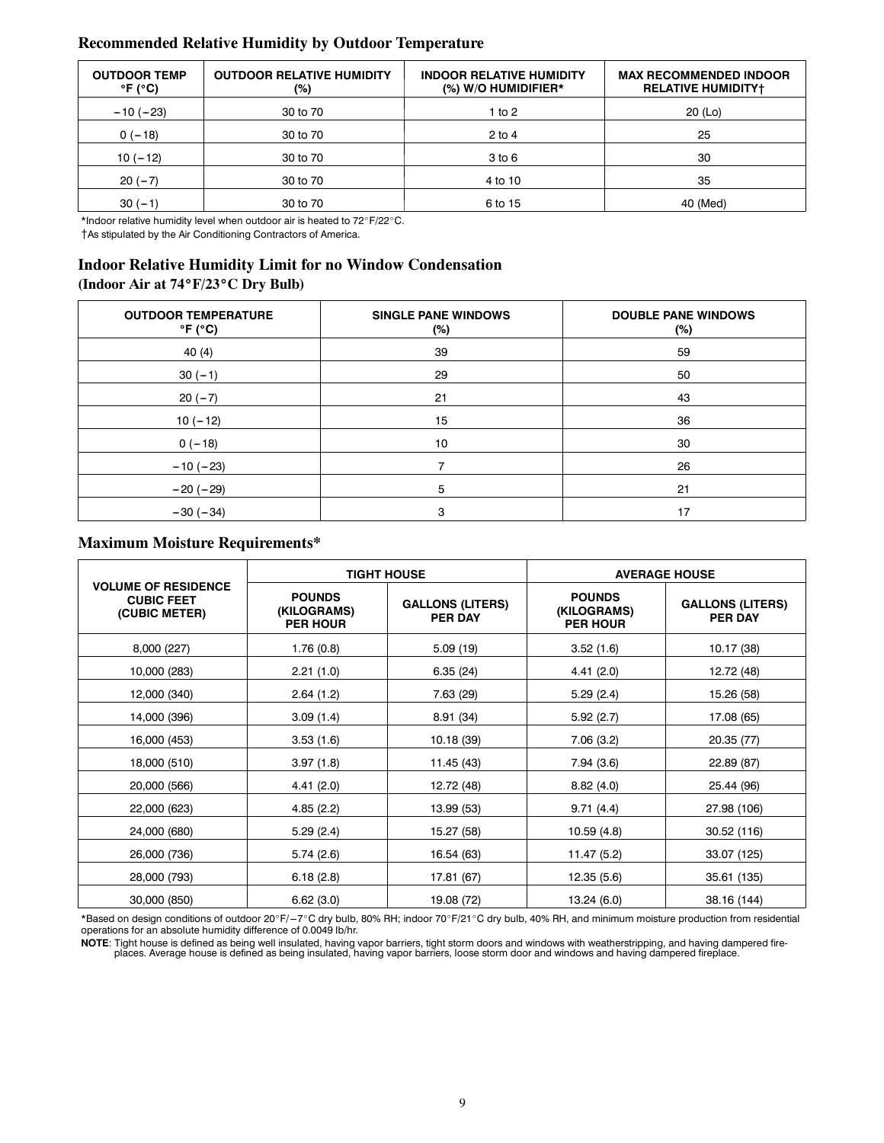#### **Recommended Relative Humidity by Outdoor Temperature**

| <b>OUTDOOR TEMP</b><br>$\degree$ F ( $\degree$ C) | <b>OUTDOOR RELATIVE HUMIDITY</b><br>(%) | <b>INDOOR RELATIVE HUMIDITY</b><br>$(\%)$ W/O HUMIDIFIER* | <b>MAX RECOMMENDED INDOOR</b><br><b>RELATIVE HUMIDITYT</b> |
|---------------------------------------------------|-----------------------------------------|-----------------------------------------------------------|------------------------------------------------------------|
| $-10(-23)$                                        | 30 to 70                                | 1 to 2                                                    | $20$ (Lo)                                                  |
| $0(-18)$                                          | 30 to 70                                | $2$ to 4                                                  | 25                                                         |
| $10(-12)$                                         | 30 to 70                                | 3 <sub>to</sub> 6                                         | 30                                                         |
| $20(-7)$                                          | 30 to 70                                | 4 to 10                                                   | 35                                                         |
| $30(-1)$                                          | 30 to 70                                | 6 to 15                                                   | 40 (Med)                                                   |

\*Indoor relative humidity level when outdoor air is heated to 72°F/22°C.

{As stipulated by the Air Conditioning Contractors of America.

## **Indoor Relative Humidity Limit for no Window Condensation**

#### **(Indoor Air at 74**\_**F/23**\_**C Dry Bulb)**

| <b>OUTDOOR TEMPERATURE</b><br>$\degree$ F ( $\degree$ C) | <b>SINGLE PANE WINDOWS</b><br>(%) | <b>DOUBLE PANE WINDOWS</b><br>$(\%)$ |
|----------------------------------------------------------|-----------------------------------|--------------------------------------|
| 40(4)                                                    | 39                                | 59                                   |
| $30(-1)$                                                 | 29                                | 50                                   |
| $20(-7)$                                                 | 21                                | 43                                   |
| $10(-12)$                                                | 15                                | 36                                   |
| $0(-18)$                                                 | 10                                | 30                                   |
| $-10(-23)$                                               |                                   | 26                                   |
| $-20(-29)$                                               | 5                                 | 21                                   |
| $-30(-34)$                                               | 3                                 | 17                                   |

#### **Maximum Moisture Requirements\***

|                                                                  |                                                 | <b>TIGHT HOUSE</b>                        | <b>AVERAGE HOUSE</b>                            |                                    |  |
|------------------------------------------------------------------|-------------------------------------------------|-------------------------------------------|-------------------------------------------------|------------------------------------|--|
| <b>VOLUME OF RESIDENCE</b><br><b>CUBIC FEET</b><br>(CUBIC METER) | <b>POUNDS</b><br>(KILOGRAMS)<br><b>PER HOUR</b> | <b>GALLONS (LITERS)</b><br><b>PER DAY</b> | <b>POUNDS</b><br>(KILOGRAMS)<br><b>PER HOUR</b> | <b>GALLONS (LITERS)</b><br>PER DAY |  |
| 8,000 (227)                                                      | 1.76(0.8)                                       | 5.09(19)                                  | 3.52(1.6)                                       | 10.17 (38)                         |  |
| 10,000 (283)                                                     | 2.21(1.0)                                       | 6.35(24)                                  | 4.41(2.0)                                       | 12.72 (48)                         |  |
| 12,000 (340)                                                     | 2.64(1.2)                                       | 7.63 (29)                                 | 5.29(2.4)                                       | 15.26 (58)                         |  |
| 14,000 (396)                                                     | 3.09(1.4)                                       | 8.91 (34)                                 | 5.92(2.7)                                       | 17.08 (65)                         |  |
| 16,000 (453)                                                     | 3.53(1.6)                                       | 10.18 (39)                                | 7.06(3.2)                                       | 20.35 (77)                         |  |
| 18,000 (510)                                                     | 3.97(1.8)                                       | 11.45 (43)                                | 7.94 (3.6)                                      | 22.89 (87)                         |  |
| 20,000 (566)                                                     | 4.41 (2.0)                                      | 12.72 (48)                                | 8.82(4.0)                                       | 25.44 (96)                         |  |
| 22,000 (623)                                                     | 4.85(2.2)                                       | 13.99 (53)                                | 9.71(4.4)                                       | 27.98 (106)                        |  |
| 24,000 (680)                                                     | 5.29(2.4)                                       | 15.27 (58)                                | 10.59 (4.8)                                     | 30.52 (116)                        |  |
| 26,000 (736)                                                     | 5.74(2.6)                                       | 16.54 (63)                                | 11.47 (5.2)                                     | 33.07 (125)                        |  |
| 28,000 (793)                                                     | 6.18(2.8)                                       | 17.81 (67)                                | 12.35 (5.6)                                     | 35.61 (135)                        |  |
| 30,000 (850)                                                     | 6.62(3.0)                                       | 19.08 (72)                                | 13.24 (6.0)                                     | 38.16 (144)                        |  |

\*Based on design conditions of outdoor 20°F/-7°C dry bulb, 80% RH; indoor 70°F/21°C dry bulb, 40% RH, and minimum moisture production from residential operations for an absolute humidity difference of 0.0049 lb/hr.

-**NOTE**: Tight house is defined as being well insulated, having vapor barriers, tight storm doors and windows with weatherstripping, and having dampered fire<br>- places. Average house is defined as being insulated, having va